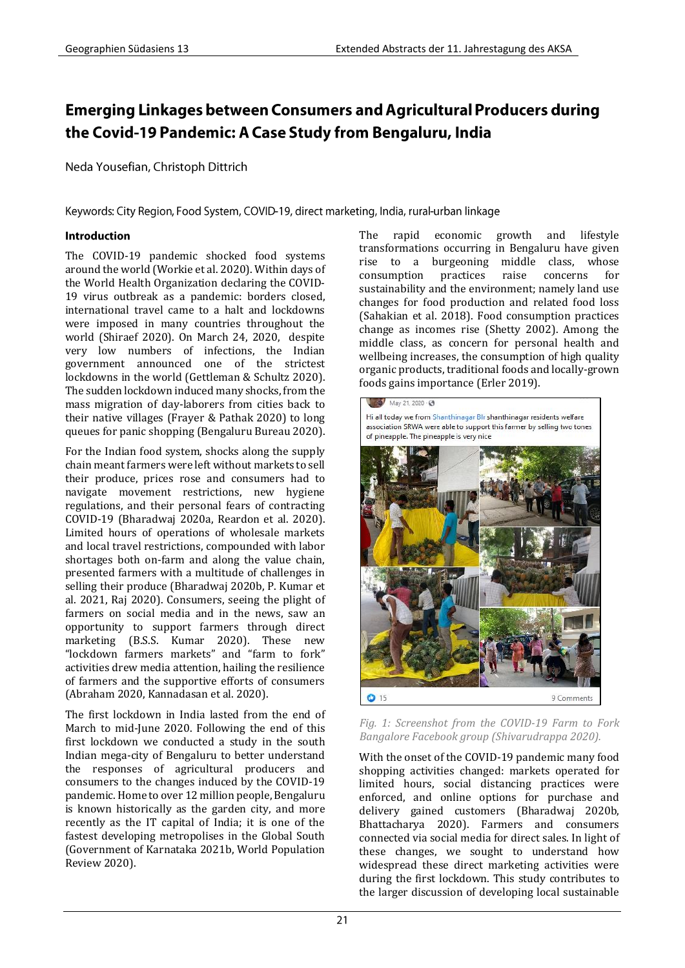# **Emerging Linkages between Consumers and Agricultural Producers during** the Covid-19 Pandemic: A Case Study from Bengaluru, India

Neda Yousefian, Christoph Dittrich

Keywords: City Region, Food System, COVID-19, direct marketing, India, rural-urban linkage

### Introduction

The COVID-19 pandemic shocked food systems around the world (Workie et al. 2020). Within days of the World Health Organization declaring the COVID-19 virus outbreak as a pandemic: borders closed, international travel came to a halt and lockdowns were imposed in many countries throughout the world (Shiraef 2020). On March 24, 2020, despite very low numbers of infections, the Indian government announced one of the strictest lockdowns in the world (Gettleman & Schultz 2020). The sudden lockdown induced many shocks, from the mass migration of day-laborers from cities back to their native villages (Frayer & Pathak 2020) to long queues for panic shopping (Bengaluru Bureau 2020).

For the Indian food system, shocks along the supply chain meant farmers were left without markets to sell their produce, prices rose and consumers had to navigate movement restrictions, new hygiene regulations, and their personal fears of contracting COVID-19 (Bharadwaj 2020a, Reardon et al. 2020). Limited hours of operations of wholesale markets and local travel restrictions, compounded with labor shortages both on-farm and along the value chain, presented farmers with a multitude of challenges in selling their produce (Bharadwaj 2020b, P. Kumar et al. 2021, Raj 2020). Consumers, seeing the plight of farmers on social media and in the news, saw an opportunity to support farmers through direct marketing (B.S.S. Kumar 2020). These new "lockdown farmers markets" and "farm to fork" activities drew media attention, hailing the resilience of farmers and the supportive efforts of consumers (Abraham 2020, Kannadasan et al. 2020).

The first lockdown in India lasted from the end of March to mid-June 2020. Following the end of this first lockdown we conducted a study in the south Indian mega-city of Bengaluru to better understand the responses of agricultural producers and consumers to the changes induced by the COVID-19 pandemic. Home to over 12 million people, Bengaluru is known historically as the garden city, and more recently as the IT capital of India; it is one of the fastest developing metropolises in the Global South (Government of Karnataka 2021b, World Population Review 2020).

The rapid economic growth and lifestyle transformations occurring in Bengaluru have given rise to a burgeoning middle class, whose consumption practices raise concerns for sustainability and the environment; namely land use changes for food production and related food loss (Sahakian et al. 2018). Food consumption practices change as incomes rise (Shetty 2002). Among the middle class, as concern for personal health and wellbeing increases, the consumption of high quality organic products, traditional foods and locally-grown foods gains importance (Erler 2019).



*Fig. 1: Screenshot from the COVID-19 Farm to Fork Bangalore Facebook group (Shivarudrappa 2020).* 

With the onset of the COVID-19 pandemic many food shopping activities changed: markets operated for limited hours, social distancing practices were enforced, and online options for purchase and delivery gained customers (Bharadwaj 2020b, Bhattacharya 2020). Farmers and consumers connected via social media for direct sales. In light of these changes, we sought to understand how widespread these direct marketing activities were during the first lockdown. This study contributes to the larger discussion of developing local sustainable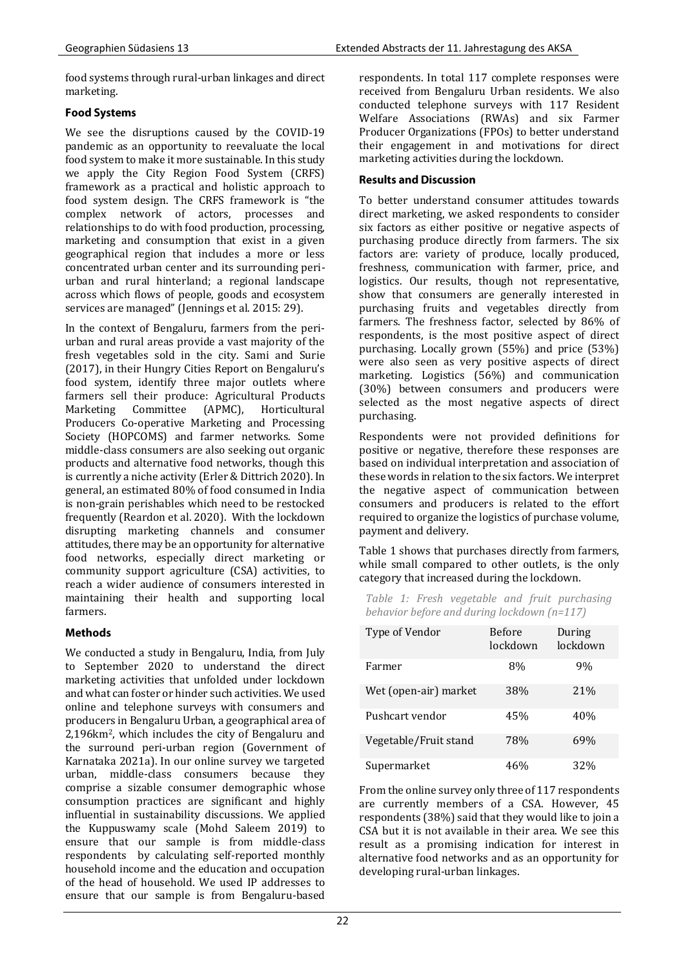food systems through rural-urban linkages and direct marketing.

### **Food Systems**

We see the disruptions caused by the COVID-19 pandemic as an opportunity to reevaluate the local food system to make it more sustainable. In this study we apply the City Region Food System (CRFS) framework as a practical and holistic approach to food system design. The CRFS framework is "the complex network of actors, processes and relationships to do with food production, processing, marketing and consumption that exist in a given geographical region that includes a more or less concentrated urban center and its surrounding periurban and rural hinterland; a regional landscape across which flows of people, goods and ecosystem services are managed" (Jennings et al. 2015: 29).

In the context of Bengaluru, farmers from the periurban and rural areas provide a vast majority of the fresh vegetables sold in the city. Sami and Surie (2017), in their Hungry Cities Report on Bengaluru's food system, identify three major outlets where farmers sell their produce: Agricultural Products Marketing Committee (APMC), Horticultural Producers Co-operative Marketing and Processing Society (HOPCOMS) and farmer networks. Some middle-class consumers are also seeking out organic products and alternative food networks, though this is currently a niche activity (Erler & Dittrich 2020). In general, an estimated 80% of food consumed in India is non-grain perishables which need to be restocked frequently (Reardon et al. 2020). With the lockdown disrupting marketing channels and consumer attitudes, there may be an opportunity for alternative food networks, especially direct marketing or community support agriculture (CSA) activities, to reach a wider audience of consumers interested in maintaining their health and supporting local farmers.

# **Methods**

We conducted a study in Bengaluru, India, from July to September 2020 to understand the direct marketing activities that unfolded under lockdown and what can foster or hinder such activities. We used online and telephone surveys with consumers and producers in Bengaluru Urban, a geographical area of 2,196km2, which includes the city of Bengaluru and the surround peri-urban region (Government of Karnataka 2021a). In our online survey we targeted urban, middle-class consumers because they comprise a sizable consumer demographic whose consumption practices are significant and highly influential in sustainability discussions. We applied the Kuppuswamy scale (Mohd Saleem 2019) to ensure that our sample is from middle-class respondents by calculating self-reported monthly household income and the education and occupation of the head of household. We used IP addresses to ensure that our sample is from Bengaluru-based

respondents. In total 117 complete responses were received from Bengaluru Urban residents. We also conducted telephone surveys with 117 Resident Welfare Associations (RWAs) and six Farmer Producer Organizations (FPOs) to better understand their engagement in and motivations for direct marketing activities during the lockdown.

# **Results and Discussion**

To better understand consumer attitudes towards direct marketing, we asked respondents to consider six factors as either positive or negative aspects of purchasing produce directly from farmers. The six factors are: variety of produce, locally produced, freshness, communication with farmer, price, and logistics. Our results, though not representative, show that consumers are generally interested in purchasing fruits and vegetables directly from farmers. The freshness factor, selected by 86% of respondents, is the most positive aspect of direct purchasing. Locally grown (55%) and price (53%) were also seen as very positive aspects of direct marketing. Logistics (56%) and communication (30%) between consumers and producers were selected as the most negative aspects of direct purchasing.

Respondents were not provided definitions for positive or negative, therefore these responses are based on individual interpretation and association of these words in relation to the six factors. We interpret the negative aspect of communication between consumers and producers is related to the effort required to organize the logistics of purchase volume, payment and delivery.

Table 1 shows that purchases directly from farmers, while small compared to other outlets, is the only category that increased during the lockdown.

*Table 1: Fresh vegetable and fruit purchasing behavior before and during lockdown (n=117)*

| Type of Vendor        | Before<br>lockdown | During<br>lockdown |
|-----------------------|--------------------|--------------------|
| Farmer                | 8%                 | 9%                 |
| Wet (open-air) market | 38%                | 21%                |
| Pushcart vendor       | 45%                | 40%                |
| Vegetable/Fruit stand | 78%                | 69%                |
| Supermarket           | 46%                | 32%                |

From the online survey only three of 117 respondents are currently members of a CSA. However, 45 respondents (38%) said that they would like to join a CSA but it is not available in their area. We see this result as a promising indication for interest in alternative food networks and as an opportunity for developing rural-urban linkages.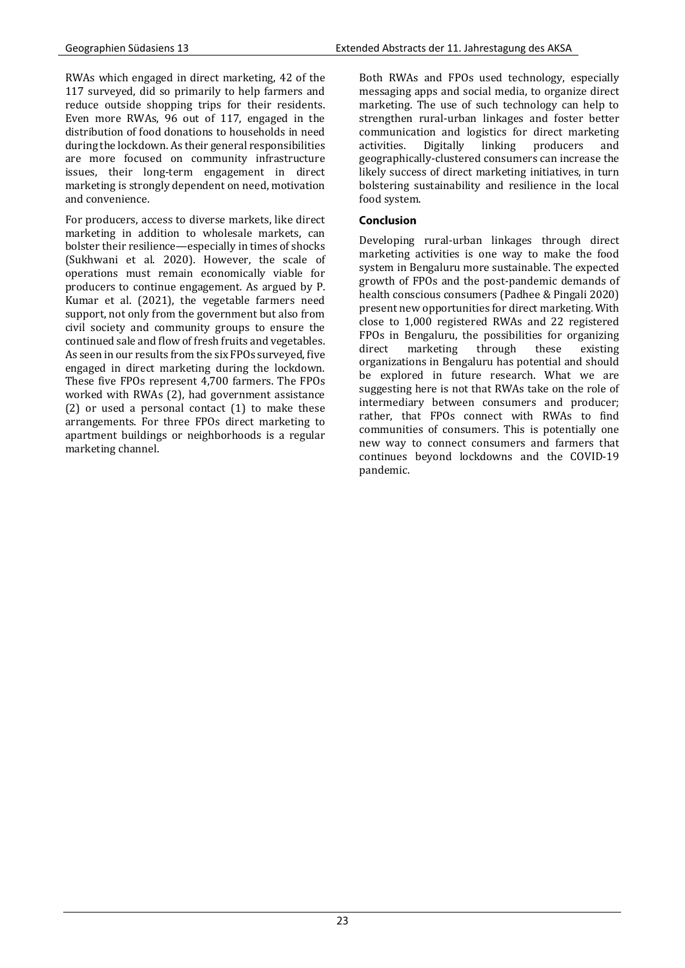RWAs which engaged in direct marketing, 42 of the 117 surveyed, did so primarily to help farmers and reduce outside shopping trips for their residents. Even more RWAs, 96 out of 117, engaged in the distribution of food donations to households in need during the lockdown. As their general responsibilities are more focused on community infrastructure issues, their long-term engagement in direct marketing is strongly dependent on need, motivation and convenience.

For producers, access to diverse markets, like direct marketing in addition to wholesale markets, can bolster their resilience—especially in times of shocks (Sukhwani et al. 2020). However, the scale of operations must remain economically viable for producers to continue engagement. As argued by P. Kumar et al. (2021), the vegetable farmers need support, not only from the government but also from civil society and community groups to ensure the continued sale and flow of fresh fruits and vegetables. As seen in our results from the six FPOs surveyed, five engaged in direct marketing during the lockdown. These five FPOs represent 4,700 farmers. The FPOs worked with RWAs (2), had government assistance (2) or used a personal contact (1) to make these arrangements. For three FPOs direct marketing to apartment buildings or neighborhoods is a regular marketing channel.

Both RWAs and FPOs used technology, especially messaging apps and social media, to organize direct marketing. The use of such technology can help to strengthen rural-urban linkages and foster better communication and logistics for direct marketing activities. Digitally linking producers and geographically-clustered consumers can increase the likely success of direct marketing initiatives, in turn bolstering sustainability and resilience in the local food system.

# Conclusion

Developing rural-urban linkages through direct marketing activities is one way to make the food system in Bengaluru more sustainable. The expected growth of FPOs and the post-pandemic demands of health conscious consumers (Padhee & Pingali 2020) present new opportunities for direct marketing. With close to 1,000 registered RWAs and 22 registered FPOs in Bengaluru, the possibilities for organizing direct marketing through these existing organizations in Bengaluru has potential and should be explored in future research. What we are suggesting here is not that RWAs take on the role of intermediary between consumers and producer; rather, that FPOs connect with RWAs to find communities of consumers. This is potentially one new way to connect consumers and farmers that continues beyond lockdowns and the COVID-19 pandemic.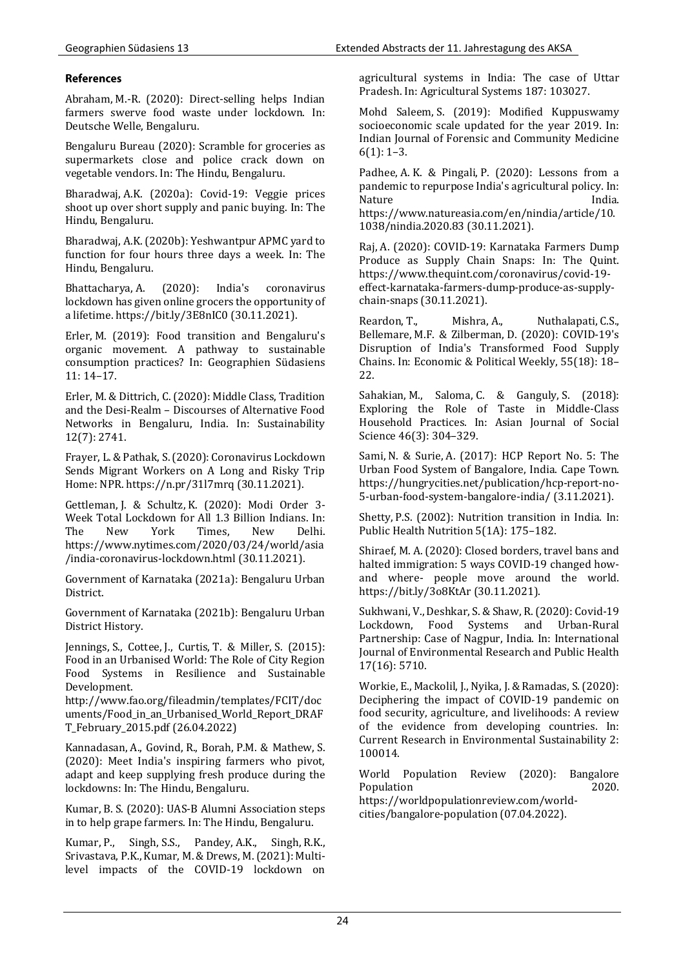#### **References**

Abraham, M.‑R. (2020): Direct-selling helps Indian farmers swerve food waste under lockdown. In: Deutsche Welle, Bengaluru.

Bengaluru Bureau (2020): Scramble for groceries as supermarkets close and police crack down on vegetable vendors. In: The Hindu, Bengaluru.

Bharadwaj, A.K. (2020a): Covid-19: Veggie prices shoot up over short supply and panic buying. In: The Hindu, Bengaluru.

Bharadwaj, A.K. (2020b): Yeshwantpur APMC yard to function for four hours three days a week. In: The Hindu, Bengaluru.

Bhattacharya, A. (2020): India's coronavirus lockdown has given online grocers the opportunity of a lifetime. https://bit.ly/3E8nIC0 (30.11.2021).

Erler, M. (2019): Food transition and Bengaluru's organic movement. A pathway to sustainable consumption practices? In: Geographien Südasiens 11: 14–17.

Erler, M. & Dittrich, C. (2020): Middle Class, Tradition and the Desi-Realm – Discourses of Alternative Food Networks in Bengaluru, India. In: Sustainability 12(7): 2741.

Frayer, L. & Pathak, S. (2020): Coronavirus Lockdown Sends Migrant Workers on A Long and Risky Trip Home: NPR. https://n.pr/31l7mrq (30.11.2021).

Gettleman, J. & Schultz, K. (2020): Modi Order 3- Week Total Lockdown for All 1.3 Billion Indians. In: The New York Times, New Delhi. https://www.nytimes.com/2020/03/24/world/asia /india-coronavirus-lockdown.html (30.11.2021).

Government of Karnataka (2021a): Bengaluru Urban District.

Government of Karnataka (2021b): Bengaluru Urban District History.

Jennings, S., Cottee, J., Curtis, T. & Miller, S. (2015): Food in an Urbanised World: The Role of City Region Food Systems in Resilience and Sustainable Development.

http://www.fao.org/fileadmin/templates/FCIT/doc uments/Food\_in\_an\_Urbanised\_World\_Report\_DRAF T\_February\_2015.pdf (26.04.2022)

Kannadasan, A., Govind, R., Borah, P.M. & Mathew, S. (2020): Meet India's inspiring farmers who pivot, adapt and keep supplying fresh produce during the lockdowns: In: The Hindu, Bengaluru.

Kumar, B. S. (2020): UAS-B Alumni Association steps in to help grape farmers. In: The Hindu, Bengaluru.

Kumar, P., Singh, S.S., Pandey, A.K., Singh, R.K., Srivastava, P.K., Kumar, M. & Drews, M. (2021): Multilevel impacts of the COVID-19 lockdown on agricultural systems in India: The case of Uttar Pradesh. In: Agricultural Systems 187: 103027.

Mohd Saleem, S. (2019): Modified Kuppuswamy socioeconomic scale updated for the year 2019. In: Indian Journal of Forensic and Community Medicine 6(1): 1–3.

Padhee, A. K. & Pingali, P. (2020): Lessons from a pandemic to repurpose India's agricultural policy. In: Nature India.

https://www.natureasia.com/en/nindia/article/10. 1038/nindia.2020.83 (30.11.2021).

Raj, A. (2020): COVID-19: Karnataka Farmers Dump Produce as Supply Chain Snaps: In: The Quint. https://www.thequint.com/coronavirus/covid-19 effect-karnataka-farmers-dump-produce-as-supplychain-snaps (30.11.2021).

Reardon, T., Mishra, A., Nuthalapati, C.S., Bellemare, M.F. & Zilberman, D. (2020): COVID-19's Disruption of India's Transformed Food Supply Chains. In: Economic & Political Weekly, 55(18): 18– 22.

Sahakian, M., Saloma, C. & Ganguly, S. (2018): Exploring the Role of Taste in Middle-Class Household Practices. In: Asian Journal of Social Science 46(3): 304–329.

Sami, N. & Surie, A. (2017): HCP Report No. 5: The Urban Food System of Bangalore, India. Cape Town. https://hungrycities.net/publication/hcp-report-no-5-urban-food-system-bangalore-india/ (3.11.2021).

Shetty, P.S. (2002): Nutrition transition in India. In: Public Health Nutrition 5(1A): 175–182.

Shiraef, M. A. (2020): Closed borders, travel bans and halted immigration: 5 ways COVID-19 changed howand where- people move around the world. https://bit.ly/3o8KtAr (30.11.2021).

Sukhwani, V., Deshkar, S. & Shaw, R. (2020): Covid-19 Lockdown, Food Systems and Urban-Rural Partnership: Case of Nagpur, India. In: International Journal of Environmental Research and Public Health 17(16): 5710.

Workie, E., Mackolil, J., Nyika, J. & Ramadas, S. (2020): Deciphering the impact of COVID-19 pandemic on food security, agriculture, and livelihoods: A review of the evidence from developing countries. In: Current Research in Environmental Sustainability 2: 100014.

World Population Review (2020): Bangalore Population 2020. https://worldpopulationreview.com/world-

cities/bangalore-population (07.04.2022).